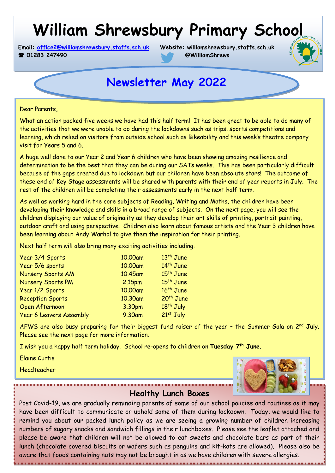# **William Shrewsbury Primary School**

**Email: [office2@williamshrewsbury.staffs.sch.uk](mailto:office2@williamshrewsbury.staffs.sch.uk) Website: williamshrewsbury.staffs.sch.uk 2 01283 247490 @WilliamShrews** 



# **Newsletter May 2022**

 $\epsilon$ are now getting closer to the Festive Season and I am enclose  $\epsilon$  and I am enclosing information about concerts,  $\epsilon$ Dear Parents**,**

What an action packed five weeks we have had this half term! It has been great to be able to do many of the activities that we were unable to do during the lockdowns such as trips, sports competitions and learning, which relied on visitors from outside school such as Bikeability and this week's theatre company visit for Years 5 and 6.

A huge well done to our Year 2 and Year 6 children who have been showing amazing resilience and determination to be the best that they can be during our SATs weeks. This has been particularly difficult because of the gaps created due to lockdown but our children have been absolute stars! The outcome of these end of Key Stage assessments will be shared with parents with their end of year reports in July. The rest of the children will be completing their assessments early in the next half term.

As well as working hard in the core subjects of Reading, Writing and Maths, the children have been developing their knowledge and skills in a broad range of subjects. On the next page, you will see the children displaying our value of originality as they develop their art skills of printing, portrait painting, outdoor craft and using perspective. Children also learn about famous artists and the Year 3 children have been learning about Andy Warhol to give them the inspiration for their printing.

Next half term will also bring many exciting activities including:

| Year 3/4 Sports                | 10.00am            | 13 <sup>th</sup> June |
|--------------------------------|--------------------|-----------------------|
| Year 5/6 sports                | 10.00am            | 14 <sup>th</sup> June |
| Nursery Sports AM              | 10.45am            | $15th$ June           |
| Nursery Sports PM              | 2.15 <sub>pm</sub> | 15 <sup>th</sup> June |
| Year 1/2 Sports                | 10.00am            | 16 <sup>th</sup> June |
| <b>Reception Sports</b>        | 10.30am            | 20 <sup>th</sup> June |
| Open Afternoon                 | 3.30pm             | $18th$ July           |
| <b>Year 6 Leavers Assembly</b> | 9.30am             | $21st$ July           |

AFWS are also busy preparing for their biggest fund-raiser of the year - the Summer Gala on 2<sup>nd</sup> July. Please see the next page for more information.

I wish you a happy half term holiday. School re-opens to children on **Tuesday 7th June**.

Elaine Curtis

Headteacher



**Healthy Lunch Boxes**

Post Covid-19, we are gradually reminding parents of some of our school policies and routines as it may have been difficult to communicate or uphold some of them during lockdown. Today, we would like to remind you about our packed lunch policy as we are seeing a growing number of children increasing numbers of sugary snacks and sandwich fillings in their lunchboxes. Please see the leaflet attached and please be aware that children will not be allowed to eat sweets and chocolate bars as part of their lunch (chocolate covered biscuits or wafers such as penguins and kit-kats are allowed). Please also be aware that foods containing nuts may not be brought in as we have children with severe allergies.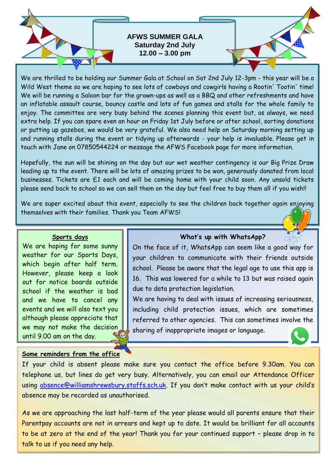

We are thrilled to be holding our Summer Gala at School on Sat 2nd July 12-3pm - this year will be a Wild West theme so we are hoping to see lots of cowboys and cowgirls having a Rootin' Tootin' time! We will be running a Saloon bar for the grown-ups as well as a BBQ and other refreshments and have an inflatable assault course, bouncy castle and lots of fun games and stalls for the whole family to enjoy. The committee are very busy behind the scenes planning this event but, as always, we need extra help. If you can spare even an hour on Friday 1st July before or after school, sorting donations or putting up gazebos, we would be very grateful. We also need help on Saturday morning setting up and running stalls during the event or tidying up afterwards - your help is invaluable. Please get in touch with Jane on 07850544224 or message the AFWS Facebook page for more information.

Hopefully, the sun will be shining on the day but our wet weather contingency is our Big Prize Draw leading up to the event. There will be lots of amazing prizes to be won, generously donated from local businesses. Tickets are £1 each and will be coming home with your child soon. Any unsold tickets please send back to school so we can sell them on the day but feel free to buy them all if you wish!!

We are super excited about this event, especially to see the children back together again enjoying themselves with their families. Thank you Team AFWS!

### **Sports days**

We are hoping for some sunny weather for our Sports Days, which begin after half term. However, please keep a look out for notice boards outside school if the weather is bad and we have to cancel any events and we will also text you although please appreciate that we may not make the decision until 9.00 am on the day.

# **Some reminders from the office**

# **What's up with WhatsApp?**

On the face of it, WhatsApp can seem like a good way for your children to communicate with their friends outside school. Please be aware that the legal age to use this app is 16. This was lowered for a while to 13 but was raised again due to data protection legislation.

We are having to deal with issues of increasing seriousness, including child protection issues, which are sometimes referred to other agencies. This can sometimes involve the sharing of inappropriate images or language.



If your child is absent please make sure you contact the office before 9.30am. You can telephone us, but lines do get very busy. Alternatively, you can email our Attendance Officer using [absence@williamshrewsbury.staffs.sch.uk](mailto:absence@williamshrewsbury.staffs.sch.uk). If you don't make contact with us your child's absence may be recorded as unauthorised.

As we are approaching the last half-term of the year please would all parents ensure that their Parentpay accounts are not in arrears and kept up to date. It would be brilliant for all accounts to be at zero at the end of the year! Thank you for your continued support – please drop in to talk to us if you need any help.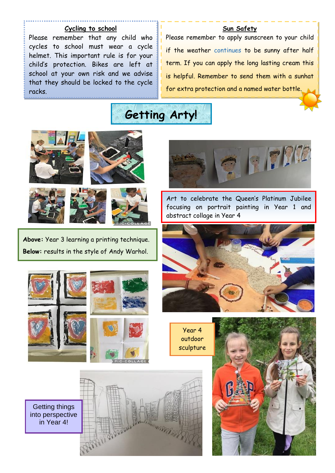### **Cycling to school**

Please remember that any child who cycles to school must wear a cycle helmet. This important rule is for your child's protection. Bikes are left at school at your own risk and we advise that they should be locked to the cycle racks.

# **Sun Safety**

Please remember to apply sunscreen to your child if the weather continues to be sunny after half term. If you can apply the long lasting cream this is helpful. Remember to send them with a sunhat for extra protection and a named water bottle.









**Above:** Year 3 learning a printing technique. **Below:** results in the style of Andy Warhol.



Art to celebrate the Queen's Platinum Jubilee focusing on portrait painting in Year 1 and abstract collage in Year 4









Getting things into perspective in Year 4!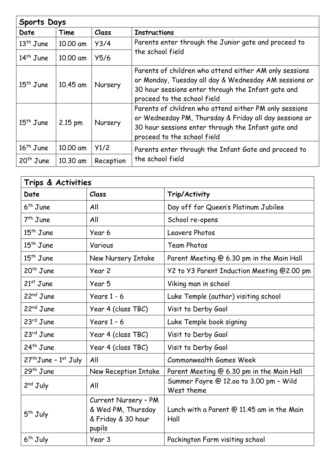| <b>Sports Days</b> |          |           |                                                                                                                                                                                                       |  |
|--------------------|----------|-----------|-------------------------------------------------------------------------------------------------------------------------------------------------------------------------------------------------------|--|
| Date               | Time     | Class     | <b>Instructions</b>                                                                                                                                                                                   |  |
| $13th$ June        | 10.00 am | Y3/4      | Parents enter through the Junior gate and proceed to                                                                                                                                                  |  |
| $14th$ June        | 10.00 am | Y5/6      | the school field                                                                                                                                                                                      |  |
| $15th$ June        | 10.45 am | Nursery   | Parents of children who attend either AM only sessions<br>or Monday, Tuesday all day & Wednesday AM sessions or<br>30 hour sessions enter through the Infant gate and<br>proceed to the school field  |  |
| $15th$ June        | 2.15 pm  | Nursery   | Parents of children who attend either PM only sessions<br>or Wednesday PM, Thursday & Friday all day sessions or<br>30 hour sessions enter through the Infant gate and<br>proceed to the school field |  |
| $16th$ June        | 10.00 am | Y1/2      | Parents enter through the Infant Gate and proceed to<br>the school field                                                                                                                              |  |
| $20th$ June        | 10.30 am | Reception |                                                                                                                                                                                                       |  |

| Trips & Activities       |                      |                                                      |  |  |
|--------------------------|----------------------|------------------------------------------------------|--|--|
| Date                     | Class                | Trip/Activity                                        |  |  |
| $6th$ June               | All                  | Day off for Queen's Platinum Jubilee                 |  |  |
| $7th$ June               | All                  | School re-opens                                      |  |  |
| $15th$ June              | Year 6               | Leavers Photos                                       |  |  |
| $15th$ June              | Various              | <b>Team Photos</b>                                   |  |  |
| $15th$ June              | New Nursery Intake   | Parent Meeting @ 6.30 pm in the Main Hall            |  |  |
| $20th$ June              | Year 2               | Y2 to Y3 Parent Induction Meeting @2.00 pm           |  |  |
| $21st$ June              | Year 5               | Viking man in school                                 |  |  |
| $22nd$ June              | Years $1 - 6$        | Luke Temple (author) visiting school                 |  |  |
| 22 <sup>nd</sup> June    | Year 4 (class TBC)   | Visit to Derby Gaol                                  |  |  |
| $23rd$ June              | Years $1 - 6$        | Luke Temple book signing                             |  |  |
| $23rd$ June              | Year 4 (class TBC)   | Visit to Derby Gaol                                  |  |  |
| $24th$ June              | Year 4 (class TBC)   | Visit to Derby Gaol                                  |  |  |
| $27th$ June - $1st$ July | All                  | <b>Commonwealth Games Week</b>                       |  |  |
| $29th$ June              | New Reception Intake | Parent Meeting @ 6.30 pm in the Main Hall            |  |  |
| $2nd$ July               | All                  | Summer Fayre @ 12.00 to 3.00 pm - Wild<br>West theme |  |  |
| 5 <sup>th</sup> July     | Current Nursery - PM |                                                      |  |  |
|                          | & Wed PM, Thursday   | Lunch with a Parent @ 11.45 am in the Main           |  |  |
|                          | & Friday & 30 hour   | Hall                                                 |  |  |
|                          | pupils               |                                                      |  |  |
| 6 <sup>th</sup> July     | Year 3               | Packington Farm visiting school                      |  |  |